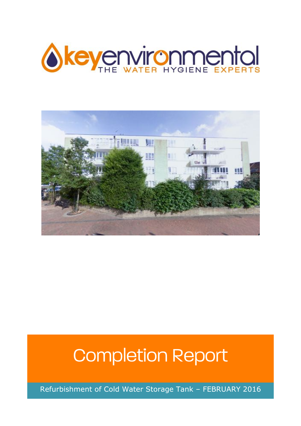



# Completion Report

Refurbishment of Cold Water Storage Tank – FEBRUARY 2016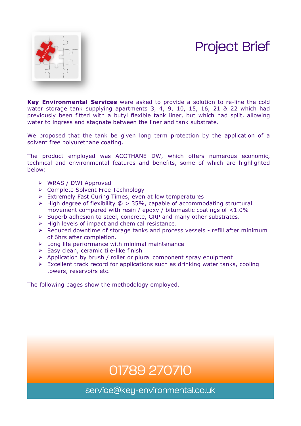## Project Brief



**Key Environmental Services** were asked to provide a solution to re-line the cold water storage tank supplying apartments 3, 4, 9, 10, 15, 16, 21 & 22 which had previously been fitted with a butyl flexible tank liner, but which had split, allowing water to ingress and stagnate between the liner and tank substrate.

We proposed that the tank be given long term protection by the application of a solvent free polyurethane coating.

The product employed was ACOTHANE DW, which offers numerous economic, technical and environmental features and benefits, some of which are highlighted below:

- $\triangleright$  WRAS / DWI Approved
- Ø Complete Solvent Free Technology
- $\triangleright$  Extremely Fast Curing Times, even at low temperatures
- $\triangleright$  High degree of flexibility  $\oslash$  > 35%, capable of accommodating structural movement compared with resin / epoxy / bitumastic coatings of <1.0%
- $\triangleright$  Superb adhesion to steel, concrete, GRP and many other substrates.
- $\triangleright$  High levels of impact and chemical resistance.
- $\triangleright$  Reduced downtime of storage tanks and process vessels refill after minimum of 6hrs after completion.
- $\triangleright$  Long life performance with minimal maintenance
- $\triangleright$  Easy clean, ceramic tile-like finish
- $\triangleright$  Application by brush / roller or plural component spray equipment
- $\triangleright$  Excellent track record for applications such as drinking water tanks, cooling towers, reservoirs etc.

The following pages show the methodology employed.

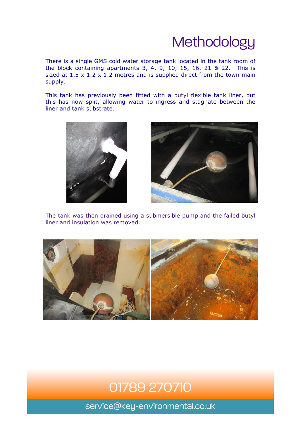# **Methodology**

There is a single GMS cold water storage tank located in the tank room of the block containing apartments 3, 4, 9, 10, 15, 16, 21 & 22. This is sized at  $1.5 \times 1.2 \times 1.2$  metres and is supplied direct from the town main supply.

This tank has previously been fitted with a butyl flexible tank liner, but this has now split, allowing water to ingress and stagnate between the liner and tank substrate.





The tank was then drained using a submersible pump and the failed butyl liner and insulation was removed.



### 01789 270710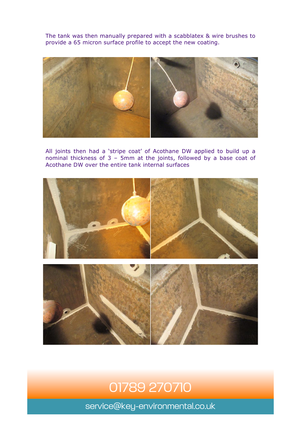The tank was then manually prepared with a scabblatex & wire brushes to provide a 65 micron surface profile to accept the new coating.



All joints then had a 'stripe coat' of Acothane DW applied to build up a nominal thickness of 3 – 5mm at the joints, followed by a base coat of Acothane DW over the entire tank internal surfaces



### 01789 270710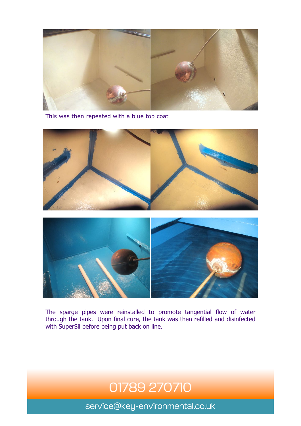

This was then repeated with a blue top coat





The sparge pipes were reinstalled to promote tangential flow of water through the tank. Upon final cure, the tank was then refilled and disinfected with SuperSil before being put back on line.

### 01789 270710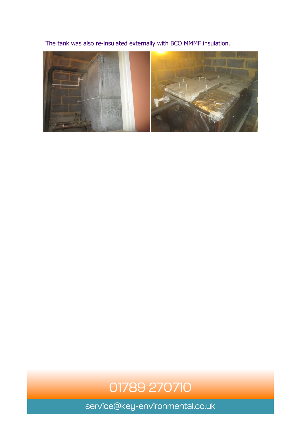The tank was also re-insulated externally with BCO MMMF insulation.